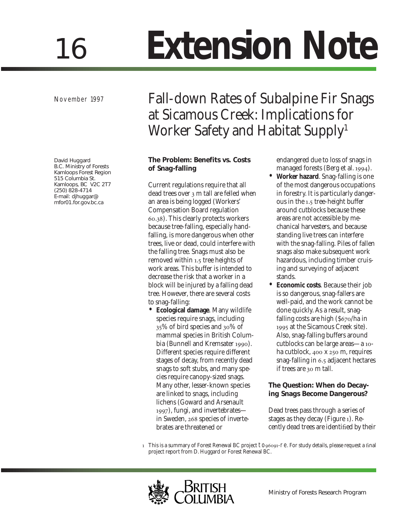# 16 **Extension Note**

November 1997

David Huggard B.C. Ministry of Forests Kamloops Forest Region 515 Columbia St. Kamloops, BC V2C 2T7 (250) 828-4714 E-mail: djhuggar@ mfor01.for.gov.bc.ca

# Fall-down Rates of Subalpine Fir Snags at Sicamous Creek: Implications for Worker Safety and Habitat Supply<sup>1</sup>

# **The Problem: Benefits vs. Costs of Snag-falling**

Current regulations require that all dead trees over 3 m tall are felled when an area is being logged (Workers' Compensation Board regulation .). This clearly protects workers because tree-falling, especially handfalling, is more dangerous when other trees, live or dead, could interfere with the falling tree. Snags must also be removed within 1.5 tree heights of work areas. This buffer is intended to decrease the risk that a worker in a block will be injured by a falling dead tree. However, there are several costs to snag-falling:

• **Ecological damage**. Many wildlife species require snags, including 35% of bird species and 30% of mammal species in British Columbia (Bunnell and Kremsater 1990). Different species require different stages of decay, from recently dead snags to soft stubs, and many species require canopy-sized snags. Many other, lesser-known species are linked to snags, including lichens (Goward and Arsenault ), fungi, and invertebrates in Sweden, 268 species of invertebrates are threatened or

endangered due to loss of snags in managed forests (Berg et al. 1994).

- **Worker hazard**. Snag-falling is one of the most dangerous occupations in forestry. It is particularly dangerous in the 1.5 tree-height buffer around cutblocks because these areas are not accessible by mechanical harvesters, and because standing live trees can interfere with the snag-falling. Piles of fallen snags also make subsequent work hazardous, including timber cruising and surveying of adjacent stands.
- **Economic costs**. Because their job is so dangerous, snag-fallers are well-paid, and the work cannot be done quickly. As a result, snagfalling costs are high  $(\frac{6}{670})$ ha in 1995 at the Sicamous Creek site). Also, snag-falling buffers around cutblocks can be large areas—a 10ha cutblock,  $400 \times 250$  m, requires snag-falling in 6.5 adjacent hectares if trees are 30 m tall.

# **The Question: When do Decaying Snags Become Dangerous?**

Dead trees pass through a series of stages as they decay (Figure ). Recently dead trees are identified by their

1 This is a summary of Forest Renewal BC project to96091-re. For study details, please request a final project report from D. Huggard or Forest Renewal BC.

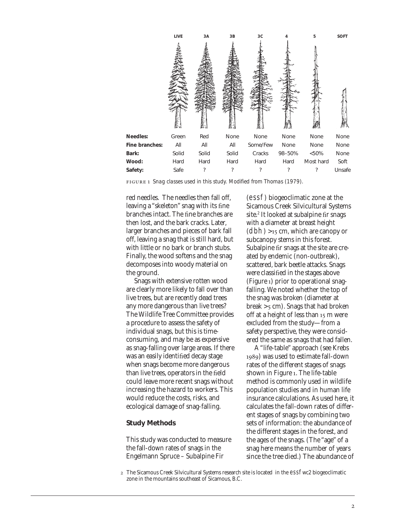

*Snag classes used in this study. Modified from Thomas (1979).*

red needles. The needles then fall off, leaving a "skeleton" snag with its fine branches intact. The fine branches are then lost, and the bark cracks. Later, larger branches and pieces of bark fall off, leaving a snag that is still hard, but with little or no bark or branch stubs. Finally, the wood softens and the snag decomposes into woody material on the ground.

Snags with extensive rotten wood are clearly more likely to fall over than live trees, but are recently dead trees any more dangerous than live trees? The Wildlife Tree Committee provides a procedure to assess the safety of individual snags, but this is timeconsuming, and may be as expensive as snag-falling over large areas. If there was an easily identified decay stage when snags become more dangerous than live trees, operators in the field could leave more recent snags without increasing the hazard to workers. This would reduce the costs, risks, and ecological damage of snag-falling.

#### **Study Methods**

This study was conducted to measure the fall-down rates of snags in the Engelmann Spruce – Subalpine Fir

(essf) biogeoclimatic zone at the Sicamous Creek Silvicultural Systems site.<sup>2</sup> It looked at subalpine fir snags with a diameter at breast height  $(dbh) ><sub>15</sub> cm$ , which are canopy or subcanopy stems in this forest. Subalpine fir snags at the site are created by endemic (non-outbreak), scattered, bark beetle attacks. Snags were classified in the stages above (Figure ) prior to operational snagfalling. We noted whether the top of the snag was broken (diameter at break  $>$  5 cm). Snags that had broken off at a height of less than  $15 \text{ m}$  were excluded from the study—from a safety perspective, they were considered the same as snags that had fallen.

A "life-table" approach (see Krebs ) was used to estimate fall-down rates of the different stages of snags shown in Figure 1. The life-table method is commonly used in wildlife population studies and in human life insurance calculations. As used here, it calculates the fall-down rates of different stages of snags by combining two sets of information: the abundance of the different stages in the forest, and the ages of the snags. (The "age" of a snag here means the number of years since the tree died.) The abundance of

The Sicamous Creek Silvicultural Systems research site is located in the essfwc2 biogeoclimatic zone in the mountains southeast of Sicamous, B.C.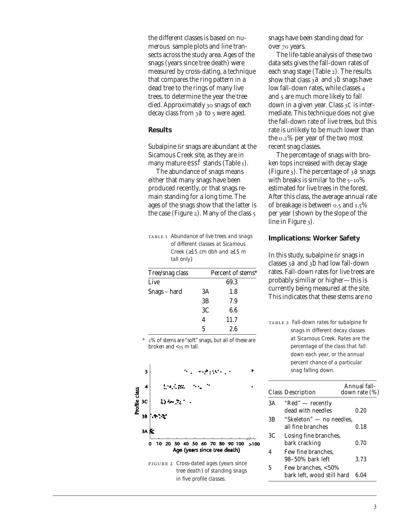the different classes is based on numerous sample plots and line transects across the study area. Ages of the snags (years since tree death) were measured by cross-dating, a technique that compares the ring pattern in a dead tree to the rings of many live trees, to determine the year the tree died. Approximately 30 snags of each decay class from  $3a$  to  $5$  were aged.

#### **Results**

Subalpine fir snags are abundant at the Sicamous Creek site, as they are in many mature essf stands (Table 1).

The abundance of snags means either that many snags have been produced recently, or that snags remain standing for a long time. The ages of the snags show that the latter is the case (Figure  $_2$ ). Many of the class  $_5$ 

| TABLE 1 Abundance of live trees and snags |
|-------------------------------------------|
| of different classes at Sicamous          |
| Creek ( $\geq$ 15 cm dbh and $\geq$ 15 m  |
| tall only)                                |
|                                           |

| Tree/snag class |    | Percent of stems* |
|-----------------|----|-------------------|
| Live            |    | 69.3              |
| Snags - hard    | 3A | 1.8               |
|                 | 3B | 7.9               |
|                 | 3C | 6.6               |
|                 | 4  | 11.7              |
|                 | 5  | 2.6               |

2% of stems are "soft" snags, but all of these are broken and  $\lt 15$  m tall.



*tree death*) *of standing snags in five profile classes.*

snags have been standing dead for over 70 years.

The life-table analysis of these two data sets gives the fall-down rates of each snag stage (Table 2). The results show that class  $3a$  and  $3b$  snags have low fall-down rates, while classes 4 and 5 are much more likely to fall down in a given year. Class  $3C$  is intermediate. This technique does not give the fall-down rate of live trees, but this rate is unlikely to be much lower than the  $0.2\%$  per year of the two most recent snag classes.

The percentage of snags with broken tops increased with decay stage (Figure  $3$ ). The percentage of  $3a$  snags with breaks is similar to the  $5-10\%$ estimated for live trees in the forest. After this class, the average annual rate of breakage is between  $0.5$  and  $1.5\%$ per year (shown by the slope of the line in Figure 3).

#### **Implications: Worker Safety**

In this study, subalpine fir snags in classes 32 and 3b had low fall-down rates. Fall-down rates for live trees are probably similiar or higher—this is currently being measured at the site. This indicates that these stems are no

 *Fall-down rates for subalpine fir snags in different decay classes at Sicamous Creek. Rates are the percentage of the class that fall down each year, or the annual percent chance of a particular snag falling down.*

|    | <b>Class Description</b>                         | Annual fall-<br>down rate $(\%)$ |
|----|--------------------------------------------------|----------------------------------|
| 3A | $"Red"$ — recently<br>dead with needles          | 0.20                             |
| 3B | "Skeleton" — no needles,<br>all fine branches    | 0.18                             |
| 3C | Losing fine branches,<br>bark cracking           | 0.70                             |
| 4  | Few fine branches.<br>98-50% bark left           | 3.73                             |
| 5  | Few branches, <50%<br>bark left, wood still hard | 6.04                             |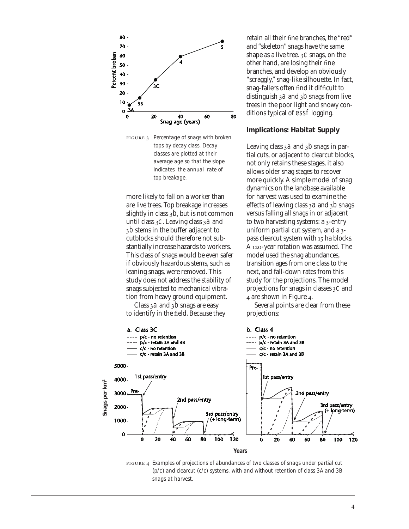

 *Percentage of snags with broken tops by decay class. Decay classes are plotted at their average age so that the slope indicates the annual rate of top breakage.*

more likely to fall on a worker than are live trees. Top breakage increases slightly in class  $3b$ , but is not common until class  $3C$ . Leaving class  $3a$  and b stems in the buffer adjacent to cutblocks should therefore not substantially increase hazards to workers. This class of snags would be even safer if obviously hazardous stems, such as leaning snags, were removed. This study does not address the stability of snags subjected to mechanical vibration from heavy ground equipment.

Class 32 and  $3b$  snags are easy to identify in the field. Because they

retain all their fine branches, the "red" and "skeleton" snags have the same shape as a live tree.  $3C$  snags, on the other hand, are losing their fine branches, and develop an obviously "scraggly," snag-like silhouette. In fact, snag-fallers often find it difficult to distinguish 32 and 3b snags from live trees in the poor light and snowy conditions typical of essf logging.

#### **Implications: Habitat Supply**

Leaving class  $3a$  and  $3b$  snags in partial cuts, or adjacent to clearcut blocks, not only retains these stages, it also allows older snag stages to recover more quickly. A simple model of snag dynamics on the landbase available for harvest was used to examine the effects of leaving class  $3a$  and  $3b$  snags versus falling all snags in or adjacent to two harvesting systems: a 3-entry uniform partial cut system, and a  $3$ pass clearcut system with 15 ha blocks. A 120-year rotation was assumed. The model used the snag abundances, transition ages from one class to the next, and fall-down rates from this study for the projections. The model projections for snags in classes  $3C$  and 4 are shown in Figure 4.

Several points are clear from these projections:



 *Examples of projections of abundances of two classes of snags under partial cut* (*p/c*) *and clearcut* (*c/c) systems, with and without retention of class 3A and 3B snags at harvest.*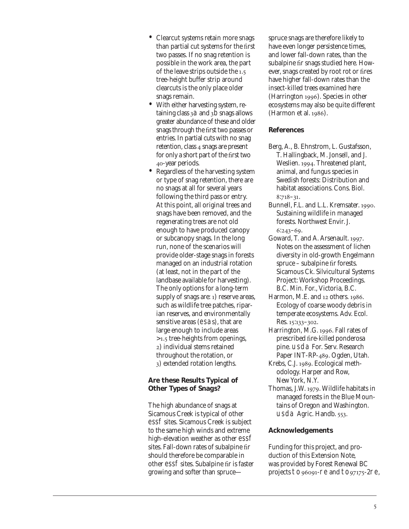- Clearcut systems retain more snags than partial cut systems for the first two passes. If no snag retention is possible in the work area, the part of the leave strips outside the 1.5 tree-height buffer strip around clearcuts is the only place older snags remain.
- With either harvesting system, retaining class  $3a$  and  $3b$  snags allows greater abundance of these and older snags through the first two passes or entries. In partial cuts with no snag retention, class 4 snags are present for only a short part of the first two -year periods.
- Regardless of the harvesting system or type of snag retention, there are no snags at all for several years following the third pass or entry. At this point, all original trees and snags have been removed, and the regenerating trees are not old enough to have produced canopy or subcanopy snags. In the long run, none of the scenarios will provide older-stage snags in forests managed on an industrial rotation (at least, not in the part of the landbase available for harvesting). The only options for a long-term supply of snags are: 1) reserve areas, such as wildlife tree patches, riparian reserves, and environmentally sensitive areas (esas), that are large enough to include areas >1.5 tree-heights from openings, ) individual stems retained throughout the rotation, or ) extended rotation lengths.

### **Are these Results Typical of Other Types of Snags?**

The high abundance of snags at Sicamous Creek is typical of other essf sites. Sicamous Creek is subject to the same high winds and extreme high-elevation weather as other essf sites. Fall-down rates of subalpine fir should therefore be comparable in other essf sites. Subalpine fir is faster growing and softer than sprucespruce snags are therefore likely to have even longer persistence times, and lower fall-down rates, than the subalpine fir snags studied here. However, snags created by root rot or fires have higher fall-down rates than the insect-killed trees examined here (Harrington 1996). Species in other ecosystems may also be quite different (Harmon et al. 1986).

# **References**

- Berg, A., B. Ehnstrom, L. Gustafsson, T. Hallingback, M. Jonsell, and J. Weslien. 1994. Threatened plant, animal, and fungus species in Swedish forests: Distribution and habitat associations. Cons. Biol.  $8:718-31.$
- Bunnell, F.L. and L.L. Kremsater. 1990. Sustaining wildlife in managed forests. Northwest Envir. J.  $6:243-69.$
- Goward, T. and A. Arsenault. 1997. Notes on the assessment of lichen diversity in old-growth Engelmann spruce – subalpine fir forests. Sicamous Ck. Silvicultural Systems Project: Workshop Proceedings. B.C. Min. For., Victoria, B.C.
- Harmon, M.E. and  $12$  others.  $1986$ . Ecology of coarse woody debris in temperate ecosystems. Adv. Ecol. Res. 15:133-302.
- Harrington, M.G. 1996. Fall rates of prescribed fire-killed ponderosa pine. usda For. Serv. Research Paper INT-RP-489. Ogden, Utah.
- Krebs, C.J. 1989. Ecological methodology. Harper and Row, New York, N.Y.
- Thomas, J.W. 1979. Wildlife habitats in managed forests in the Blue Mountains of Oregon and Washington. usda Agric. Handb.  $553$ .

# **Acknowledgements**

Funding for this project, and production of this Extension Note, was provided by Forest Renewal BC projects  $to_{96091}$ -re and  $to_{97175}$ -2re,